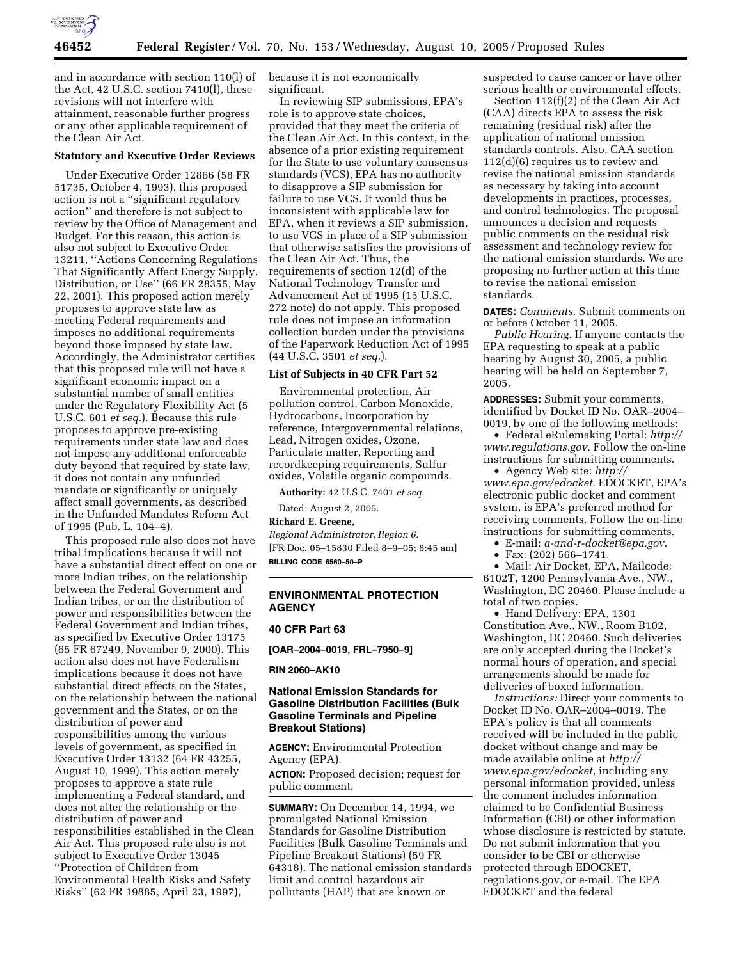

and in accordance with section 110(l) of the Act, 42 U.S.C. section 7410(l), these revisions will not interfere with attainment, reasonable further progress or any other applicable requirement of the Clean Air Act.

## **Statutory and Executive Order Reviews**

Under Executive Order 12866 (58 FR 51735, October 4, 1993), this proposed action is not a ''significant regulatory action'' and therefore is not subject to review by the Office of Management and Budget. For this reason, this action is also not subject to Executive Order 13211, ''Actions Concerning Regulations That Significantly Affect Energy Supply, Distribution, or Use'' (66 FR 28355, May 22, 2001). This proposed action merely proposes to approve state law as meeting Federal requirements and imposes no additional requirements beyond those imposed by state law. Accordingly, the Administrator certifies that this proposed rule will not have a significant economic impact on a substantial number of small entities under the Regulatory Flexibility Act (5 U.S.C. 601 *et seq.*). Because this rule proposes to approve pre-existing requirements under state law and does not impose any additional enforceable duty beyond that required by state law, it does not contain any unfunded mandate or significantly or uniquely affect small governments, as described in the Unfunded Mandates Reform Act of 1995 (Pub. L. 104–4).

This proposed rule also does not have tribal implications because it will not have a substantial direct effect on one or more Indian tribes, on the relationship between the Federal Government and Indian tribes, or on the distribution of power and responsibilities between the Federal Government and Indian tribes, as specified by Executive Order 13175 (65 FR 67249, November 9, 2000). This action also does not have Federalism implications because it does not have substantial direct effects on the States, on the relationship between the national government and the States, or on the distribution of power and responsibilities among the various levels of government, as specified in Executive Order 13132 (64 FR 43255, August 10, 1999). This action merely proposes to approve a state rule implementing a Federal standard, and does not alter the relationship or the distribution of power and responsibilities established in the Clean Air Act. This proposed rule also is not subject to Executive Order 13045 ''Protection of Children from Environmental Health Risks and Safety Risks'' (62 FR 19885, April 23, 1997),

because it is not economically significant.

In reviewing SIP submissions, EPA's role is to approve state choices, provided that they meet the criteria of the Clean Air Act. In this context, in the absence of a prior existing requirement for the State to use voluntary consensus standards (VCS), EPA has no authority to disapprove a SIP submission for failure to use VCS. It would thus be inconsistent with applicable law for EPA, when it reviews a SIP submission, to use VCS in place of a SIP submission that otherwise satisfies the provisions of the Clean Air Act. Thus, the requirements of section 12(d) of the National Technology Transfer and Advancement Act of 1995 (15 U.S.C. 272 note) do not apply. This proposed rule does not impose an information collection burden under the provisions of the Paperwork Reduction Act of 1995 (44 U.S.C. 3501 *et seq.*).

### **List of Subjects in 40 CFR Part 52**

Environmental protection, Air pollution control, Carbon Monoxide, Hydrocarbons, Incorporation by reference, Intergovernmental relations, Lead, Nitrogen oxides, Ozone, Particulate matter, Reporting and recordkeeping requirements, Sulfur oxides, Volatile organic compounds.

**Authority:** 42 U.S.C. 7401 *et seq.*

Dated: August 2, 2005.

**Richard E. Greene,** 

*Regional Administrator, Region 6.* [FR Doc. 05–15830 Filed 8–9–05; 8:45 am] **BILLING CODE 6560–50–P**

## **ENVIRONMENTAL PROTECTION AGENCY**

## **40 CFR Part 63**

**[OAR–2004–0019, FRL–7950–9]** 

#### **RIN 2060–AK10**

## **National Emission Standards for Gasoline Distribution Facilities (Bulk Gasoline Terminals and Pipeline Breakout Stations)**

**AGENCY:** Environmental Protection Agency (EPA).

**ACTION:** Proposed decision; request for public comment.

**SUMMARY:** On December 14, 1994, we promulgated National Emission Standards for Gasoline Distribution Facilities (Bulk Gasoline Terminals and Pipeline Breakout Stations) (59 FR 64318). The national emission standards limit and control hazardous air pollutants (HAP) that are known or

suspected to cause cancer or have other serious health or environmental effects.

Section 112(f)(2) of the Clean Air Act (CAA) directs EPA to assess the risk remaining (residual risk) after the application of national emission standards controls. Also, CAA section 112(d)(6) requires us to review and revise the national emission standards as necessary by taking into account developments in practices, processes, and control technologies. The proposal announces a decision and requests public comments on the residual risk assessment and technology review for the national emission standards. We are proposing no further action at this time to revise the national emission standards.

**DATES:** *Comments.* Submit comments on or before October 11, 2005.

*Public Hearing.* If anyone contacts the EPA requesting to speak at a public hearing by August 30, 2005, a public hearing will be held on September 7, 2005.

**ADDRESSES:** Submit your comments, identified by Docket ID No. OAR–2004– 0019, by one of the following methods:

• Federal eRulemaking Portal: *http:// www.regulations.gov*. Follow the on-line instructions for submitting comments.

• Agency Web site: *http:// www.epa.gov/edocket*. EDOCKET, EPA's electronic public docket and comment system, is EPA's preferred method for receiving comments. Follow the on-line instructions for submitting comments.

• E-mail: *a-and-r-docket@epa.gov*.

• Fax: (202) 566–1741.

• Mail: Air Docket, EPA, Mailcode: 6102T, 1200 Pennsylvania Ave., NW., Washington, DC 20460. Please include a total of two copies.

• Hand Delivery: EPA, 1301 Constitution Ave., NW., Room B102, Washington, DC 20460. Such deliveries are only accepted during the Docket's normal hours of operation, and special arrangements should be made for deliveries of boxed information.

*Instructions:* Direct your comments to Docket ID No. OAR–2004–0019. The EPA's policy is that all comments received will be included in the public docket without change and may be made available online at *http:// www.epa.gov/edocket*, including any personal information provided, unless the comment includes information claimed to be Confidential Business Information (CBI) or other information whose disclosure is restricted by statute. Do not submit information that you consider to be CBI or otherwise protected through EDOCKET, regulations.gov, or e-mail. The EPA EDOCKET and the federal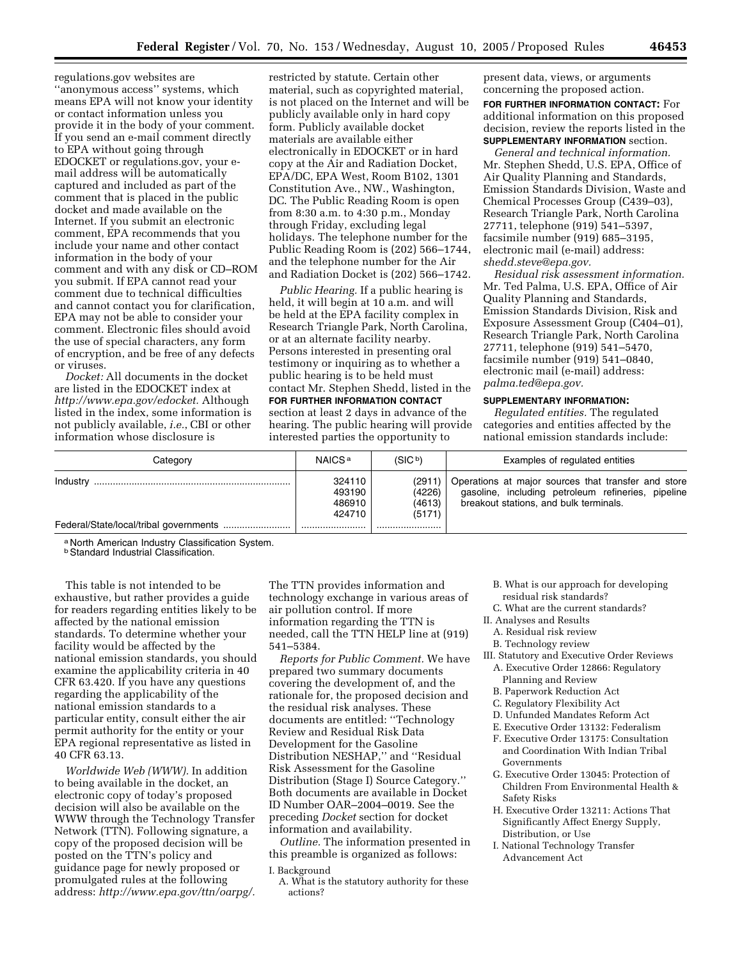regulations.gov websites are ''anonymous access'' systems, which means EPA will not know your identity or contact information unless you provide it in the body of your comment. If you send an e-mail comment directly to EPA without going through EDOCKET or regulations.gov, your email address will be automatically captured and included as part of the comment that is placed in the public docket and made available on the Internet. If you submit an electronic comment, EPA recommends that you include your name and other contact information in the body of your comment and with any disk or CD–ROM you submit. If EPA cannot read your comment due to technical difficulties and cannot contact you for clarification, EPA may not be able to consider your comment. Electronic files should avoid the use of special characters, any form of encryption, and be free of any defects or viruses.

*Docket:* All documents in the docket are listed in the EDOCKET index at *http://www.epa.gov/edocket.* Although listed in the index, some information is not publicly available, *i.e.*, CBI or other information whose disclosure is

restricted by statute. Certain other material, such as copyrighted material, is not placed on the Internet and will be publicly available only in hard copy form. Publicly available docket materials are available either electronically in EDOCKET or in hard copy at the Air and Radiation Docket, EPA/DC, EPA West, Room B102, 1301 Constitution Ave., NW., Washington, DC. The Public Reading Room is open from 8:30 a.m. to 4:30 p.m., Monday through Friday, excluding legal holidays. The telephone number for the Public Reading Room is (202) 566–1744, and the telephone number for the Air and Radiation Docket is (202) 566–1742.

*Public Hearing.* If a public hearing is held, it will begin at 10 a.m. and will be held at the EPA facility complex in Research Triangle Park, North Carolina, or at an alternate facility nearby. Persons interested in presenting oral testimony or inquiring as to whether a public hearing is to be held must contact Mr. Stephen Shedd, listed in the **FOR FURTHER INFORMATION CONTACT** section at least 2 days in advance of the hearing. The public hearing will provide interested parties the opportunity to

present data, views, or arguments concerning the proposed action.

**FOR FURTHER INFORMATION CONTACT:** For additional information on this proposed decision, review the reports listed in the **SUPPLEMENTARY INFORMATION** section.

*General and technical information.* Mr. Stephen Shedd, U.S. EPA, Office of Air Quality Planning and Standards, Emission Standards Division, Waste and Chemical Processes Group (C439–03), Research Triangle Park, North Carolina 27711, telephone (919) 541–5397, facsimile number (919) 685–3195, electronic mail (e-mail) address: *shedd.steve@epa.gov.*

*Residual risk assessment information.* Mr. Ted Palma, U.S. EPA, Office of Air Quality Planning and Standards, Emission Standards Division, Risk and Exposure Assessment Group (C404–01), Research Triangle Park, North Carolina 27711, telephone (919) 541–5470, facsimile number (919) 541–0840, electronic mail (e-mail) address: *palma.ted@epa.gov.*

## **SUPPLEMENTARY INFORMATION:**

*Regulated entities.* The regulated categories and entities affected by the national emission standards include:

| Category | NAICS <sup>a</sup>                   | (SIC <sup>b</sup> )                  | Examples of regulated entities                                                                                                                      |
|----------|--------------------------------------|--------------------------------------|-----------------------------------------------------------------------------------------------------------------------------------------------------|
| Industry | 324110<br>493190<br>486910<br>424710 | (2911)<br>(4226)<br>(4613)<br>(5171) | Operations at major sources that transfer and store<br>gasoline, including petroleum refineries, pipeline<br>breakout stations, and bulk terminals. |
|          |                                      |                                      |                                                                                                                                                     |

a North American Industry Classification System.

**b** Standard Industrial Classification.

This table is not intended to be exhaustive, but rather provides a guide for readers regarding entities likely to be affected by the national emission standards. To determine whether your facility would be affected by the national emission standards, you should examine the applicability criteria in 40 CFR 63.420. If you have any questions regarding the applicability of the national emission standards to a particular entity, consult either the air permit authority for the entity or your EPA regional representative as listed in 40 CFR 63.13.

*Worldwide Web (WWW).* In addition to being available in the docket, an electronic copy of today's proposed decision will also be available on the WWW through the Technology Transfer Network (TTN). Following signature, a copy of the proposed decision will be posted on the TTN's policy and guidance page for newly proposed or promulgated rules at the following address: *http://www.epa.gov/ttn/oarpg/.*

The TTN provides information and technology exchange in various areas of air pollution control. If more information regarding the TTN is needed, call the TTN HELP line at (919) 541–5384.

*Reports for Public Comment.* We have prepared two summary documents covering the development of, and the rationale for, the proposed decision and the residual risk analyses. These documents are entitled: ''Technology Review and Residual Risk Data Development for the Gasoline Distribution NESHAP,'' and ''Residual Risk Assessment for the Gasoline Distribution (Stage I) Source Category.'' Both documents are available in Docket ID Number OAR–2004–0019. See the preceding *Docket* section for docket information and availability.

*Outline.* The information presented in this preamble is organized as follows:

## I. Background

A. What is the statutory authority for these actions?

- B. What is our approach for developing residual risk standards?
- C. What are the current standards?
- II. Analyses and Results
- A. Residual risk review
- B. Technology review
- III. Statutory and Executive Order Reviews A. Executive Order 12866: Regulatory
	- Planning and Review B. Paperwork Reduction Act
	-
	- C. Regulatory Flexibility Act
	- D. Unfunded Mandates Reform Act
	- E. Executive Order 13132: Federalism
	- F. Executive Order 13175: Consultation and Coordination With Indian Tribal Governments
	- G. Executive Order 13045: Protection of Children From Environmental Health & Safety Risks
	- H. Executive Order 13211: Actions That Significantly Affect Energy Supply, Distribution, or Use
	- I. National Technology Transfer Advancement Act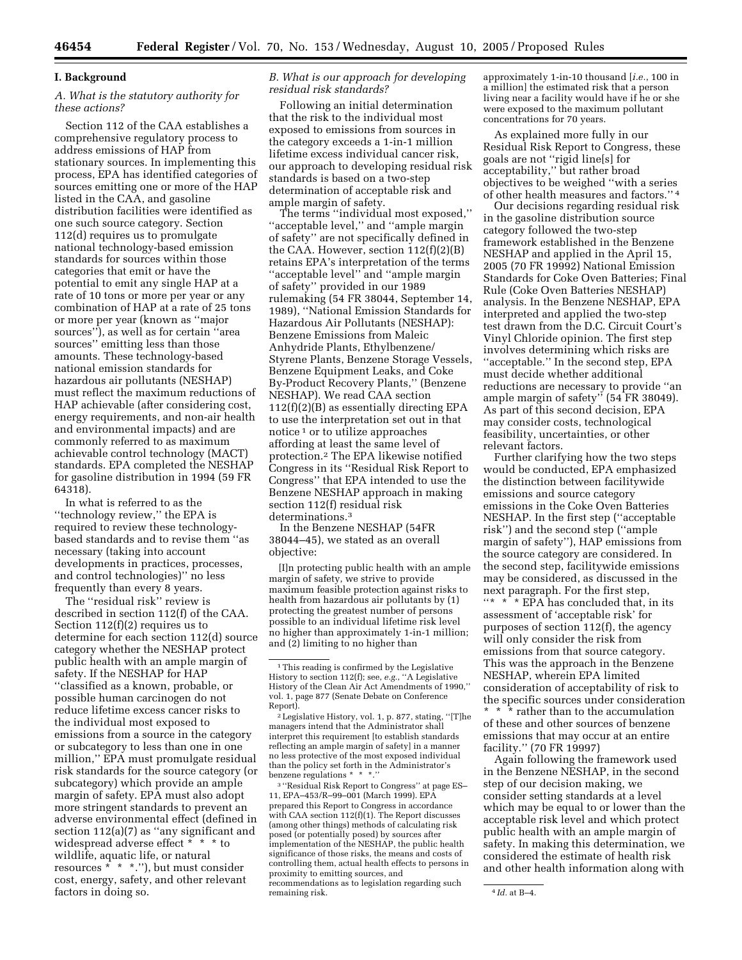### **I. Background**

## *A. What is the statutory authority for these actions?*

Section 112 of the CAA establishes a comprehensive regulatory process to address emissions of HAP from stationary sources. In implementing this process, EPA has identified categories of sources emitting one or more of the HAP listed in the CAA, and gasoline distribution facilities were identified as one such source category. Section 112(d) requires us to promulgate national technology-based emission standards for sources within those categories that emit or have the potential to emit any single HAP at a rate of 10 tons or more per year or any combination of HAP at a rate of 25 tons or more per year (known as ''major sources''), as well as for certain ''area sources'' emitting less than those amounts. These technology-based national emission standards for hazardous air pollutants (NESHAP) must reflect the maximum reductions of HAP achievable (after considering cost, energy requirements, and non-air health and environmental impacts) and are commonly referred to as maximum achievable control technology (MACT) standards. EPA completed the NESHAP for gasoline distribution in 1994 (59 FR 64318).

In what is referred to as the ''technology review,'' the EPA is required to review these technologybased standards and to revise them ''as necessary (taking into account developments in practices, processes, and control technologies)'' no less frequently than every 8 years.

The ''residual risk'' review is described in section 112(f) of the CAA. Section 112(f)(2) requires us to determine for each section 112(d) source category whether the NESHAP protect public health with an ample margin of safety. If the NESHAP for HAP ''classified as a known, probable, or possible human carcinogen do not reduce lifetime excess cancer risks to the individual most exposed to emissions from a source in the category or subcategory to less than one in one million,'' EPA must promulgate residual risk standards for the source category (or subcategory) which provide an ample margin of safety. EPA must also adopt more stringent standards to prevent an adverse environmental effect (defined in section  $112(a)(7)$  as "any significant and widespread adverse effect \* \* \* to wildlife, aquatic life, or natural resources  $* * *$ ."), but must consider cost, energy, safety, and other relevant factors in doing so.

## *B. What is our approach for developing residual risk standards?*

Following an initial determination that the risk to the individual most exposed to emissions from sources in the category exceeds a 1-in-1 million lifetime excess individual cancer risk, our approach to developing residual risk standards is based on a two-step determination of acceptable risk and ample margin of safety.

The terms ''individual most exposed,'' ''acceptable level,'' and ''ample margin of safety'' are not specifically defined in the CAA. However, section  $112(f)(2)(B)$ retains EPA's interpretation of the terms ''acceptable level'' and ''ample margin of safety'' provided in our 1989 rulemaking (54 FR 38044, September 14, 1989), ''National Emission Standards for Hazardous Air Pollutants (NESHAP): Benzene Emissions from Maleic Anhydride Plants, Ethylbenzene/ Styrene Plants, Benzene Storage Vessels, Benzene Equipment Leaks, and Coke By-Product Recovery Plants,'' (Benzene NESHAP). We read CAA section 112(f)(2)(B) as essentially directing EPA to use the interpretation set out in that notice 1 or to utilize approaches affording at least the same level of protection.2 The EPA likewise notified Congress in its ''Residual Risk Report to Congress'' that EPA intended to use the Benzene NESHAP approach in making section 112(f) residual risk determinations.3

In the Benzene NESHAP (54FR 38044–45), we stated as an overall objective:

[I]n protecting public health with an ample margin of safety, we strive to provide maximum feasible protection against risks to health from hazardous air pollutants by (1) protecting the greatest number of persons possible to an individual lifetime risk level no higher than approximately 1-in-1 million; and (2) limiting to no higher than

2Legislative History, vol. 1, p. 877, stating, ''[T]he managers intend that the Administrator shall interpret this requirement [to establish standards reflecting an ample margin of safety] in a manner no less protective of the most exposed individual than the policy set forth in the Administrator's benzene regulations \* \* \*.''

3 ''Residual Risk Report to Congress'' at page ES– 11, EPA–453/R–99–001 (March 1999). EPA prepared this Report to Congress in accordance with CAA section 112(f)(1). The Report discusses (among other things) methods of calculating risk posed (or potentially posed) by sources after implementation of the NESHAP, the public health significance of those risks, the means and costs of controlling them, actual health effects to persons in proximity to emitting sources, and recommendations as to legislation regarding such remaining risk.  $4 Id. at B-4.$ 

approximately 1-in-10 thousand [*i.e.*, 100 in a million] the estimated risk that a person living near a facility would have if he or she were exposed to the maximum pollutant concentrations for 70 years.

As explained more fully in our Residual Risk Report to Congress, these goals are not ''rigid line[s] for acceptability,'' but rather broad objectives to be weighed ''with a series of other health measures and factors.'' 4

Our decisions regarding residual risk in the gasoline distribution source category followed the two-step framework established in the Benzene NESHAP and applied in the April 15, 2005 (70 FR 19992) National Emission Standards for Coke Oven Batteries; Final Rule (Coke Oven Batteries NESHAP) analysis. In the Benzene NESHAP, EPA interpreted and applied the two-step test drawn from the D.C. Circuit Court's Vinyl Chloride opinion. The first step involves determining which risks are ''acceptable.'' In the second step, EPA must decide whether additional reductions are necessary to provide ''an ample margin of safety'' (54 FR 38049). As part of this second decision, EPA may consider costs, technological feasibility, uncertainties, or other relevant factors.

Further clarifying how the two steps would be conducted, EPA emphasized the distinction between facilitywide emissions and source category emissions in the Coke Oven Batteries NESHAP. In the first step (''acceptable risk'') and the second step (''ample margin of safety''), HAP emissions from the source category are considered. In the second step, facilitywide emissions may be considered, as discussed in the next paragraph. For the first step, ''\* \* \* EPA has concluded that, in its assessment of 'acceptable risk' for purposes of section 112(f), the agency will only consider the risk from emissions from that source category. This was the approach in the Benzene NESHAP, wherein EPA limited consideration of acceptability of risk to the specific sources under consideration \* rather than to the accumulation of these and other sources of benzene emissions that may occur at an entire facility.'' (70 FR 19997)

Again following the framework used in the Benzene NESHAP, in the second step of our decision making, we consider setting standards at a level which may be equal to or lower than the acceptable risk level and which protect public health with an ample margin of safety. In making this determination, we considered the estimate of health risk and other health information along with

<sup>1</sup>This reading is confirmed by the Legislative History to section 112(f); see, *e.g.*, ''A Legislative History of the Clean Air Act Amendments of 1990,'' vol. 1, page 877 (Senate Debate on Conference Report).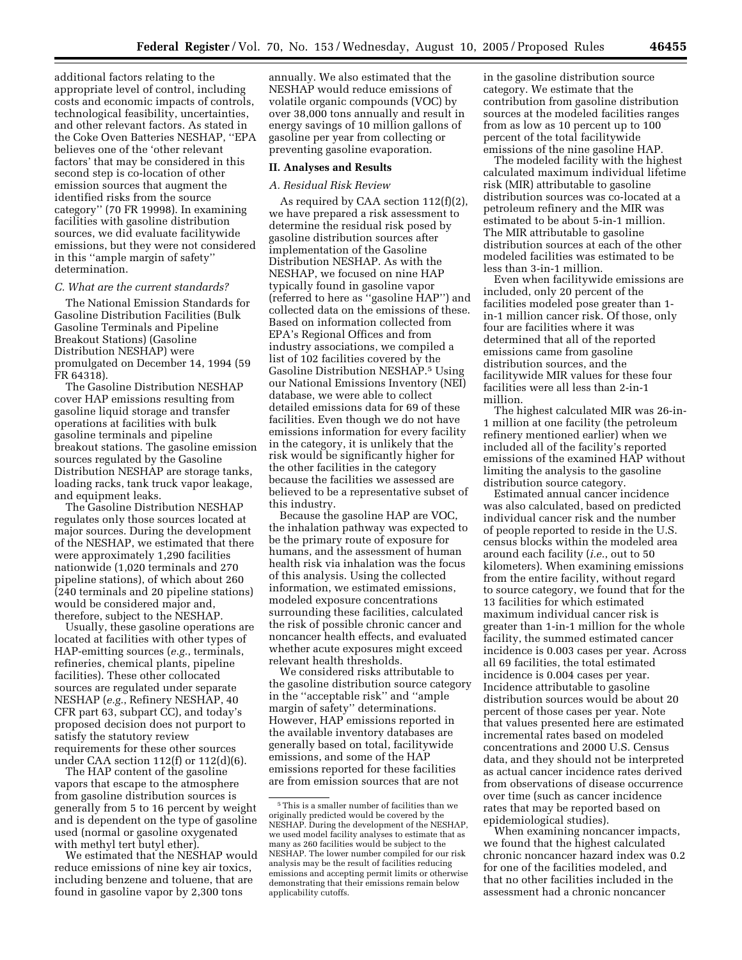additional factors relating to the appropriate level of control, including costs and economic impacts of controls, technological feasibility, uncertainties, and other relevant factors. As stated in the Coke Oven Batteries NESHAP, ''EPA believes one of the 'other relevant factors' that may be considered in this second step is co-location of other emission sources that augment the identified risks from the source category'' (70 FR 19998). In examining facilities with gasoline distribution sources, we did evaluate facilitywide emissions, but they were not considered in this ''ample margin of safety'' determination.

### *C. What are the current standards?*

The National Emission Standards for Gasoline Distribution Facilities (Bulk Gasoline Terminals and Pipeline Breakout Stations) (Gasoline Distribution NESHAP) were promulgated on December 14, 1994 (59 FR 64318).

The Gasoline Distribution NESHAP cover HAP emissions resulting from gasoline liquid storage and transfer operations at facilities with bulk gasoline terminals and pipeline breakout stations. The gasoline emission sources regulated by the Gasoline Distribution NESHAP are storage tanks, loading racks, tank truck vapor leakage, and equipment leaks.

The Gasoline Distribution NESHAP regulates only those sources located at major sources. During the development of the NESHAP, we estimated that there were approximately 1,290 facilities nationwide (1,020 terminals and 270 pipeline stations), of which about 260 (240 terminals and 20 pipeline stations) would be considered major and, therefore, subject to the NESHAP.

Usually, these gasoline operations are located at facilities with other types of HAP-emitting sources (*e.g.*, terminals, refineries, chemical plants, pipeline facilities). These other collocated sources are regulated under separate NESHAP (*e.g.*, Refinery NESHAP, 40 CFR part 63, subpart CC), and today's proposed decision does not purport to satisfy the statutory review requirements for these other sources under CAA section 112(f) or 112(d)(6).

The HAP content of the gasoline vapors that escape to the atmosphere from gasoline distribution sources is generally from 5 to 16 percent by weight and is dependent on the type of gasoline used (normal or gasoline oxygenated with methyl tert butyl ether).

We estimated that the NESHAP would reduce emissions of nine key air toxics, including benzene and toluene, that are found in gasoline vapor by 2,300 tons

annually. We also estimated that the NESHAP would reduce emissions of volatile organic compounds (VOC) by over 38,000 tons annually and result in energy savings of 10 million gallons of gasoline per year from collecting or preventing gasoline evaporation.

# **II. Analyses and Results**

## *A. Residual Risk Review*

As required by CAA section 112(f)(2), we have prepared a risk assessment to determine the residual risk posed by gasoline distribution sources after implementation of the Gasoline Distribution NESHAP. As with the NESHAP, we focused on nine HAP typically found in gasoline vapor (referred to here as ''gasoline HAP'') and collected data on the emissions of these. Based on information collected from EPA's Regional Offices and from industry associations, we compiled a list of 102 facilities covered by the Gasoline Distribution NESHAP.5 Using our National Emissions Inventory (NEI) database, we were able to collect detailed emissions data for 69 of these facilities. Even though we do not have emissions information for every facility in the category, it is unlikely that the risk would be significantly higher for the other facilities in the category because the facilities we assessed are believed to be a representative subset of this industry.

Because the gasoline HAP are VOC, the inhalation pathway was expected to be the primary route of exposure for humans, and the assessment of human health risk via inhalation was the focus of this analysis. Using the collected information, we estimated emissions, modeled exposure concentrations surrounding these facilities, calculated the risk of possible chronic cancer and noncancer health effects, and evaluated whether acute exposures might exceed relevant health thresholds.

We considered risks attributable to the gasoline distribution source category in the ''acceptable risk'' and ''ample margin of safety'' determinations. However, HAP emissions reported in the available inventory databases are generally based on total, facilitywide emissions, and some of the HAP emissions reported for these facilities are from emission sources that are not

in the gasoline distribution source category. We estimate that the contribution from gasoline distribution sources at the modeled facilities ranges from as low as 10 percent up to 100 percent of the total facilitywide emissions of the nine gasoline HAP.

The modeled facility with the highest calculated maximum individual lifetime risk (MIR) attributable to gasoline distribution sources was co-located at a petroleum refinery and the MIR was estimated to be about 5-in-1 million. The MIR attributable to gasoline distribution sources at each of the other modeled facilities was estimated to be less than 3-in-1 million.

Even when facilitywide emissions are included, only 20 percent of the facilities modeled pose greater than 1 in-1 million cancer risk. Of those, only four are facilities where it was determined that all of the reported emissions came from gasoline distribution sources, and the facilitywide MIR values for these four facilities were all less than 2-in-1 million.

The highest calculated MIR was 26-in-1 million at one facility (the petroleum refinery mentioned earlier) when we included all of the facility's reported emissions of the examined HAP without limiting the analysis to the gasoline distribution source category.

Estimated annual cancer incidence was also calculated, based on predicted individual cancer risk and the number of people reported to reside in the U.S. census blocks within the modeled area around each facility (*i.e.*, out to 50 kilometers). When examining emissions from the entire facility, without regard to source category, we found that for the 13 facilities for which estimated maximum individual cancer risk is greater than 1-in-1 million for the whole facility, the summed estimated cancer incidence is 0.003 cases per year. Across all 69 facilities, the total estimated incidence is 0.004 cases per year. Incidence attributable to gasoline distribution sources would be about 20 percent of those cases per year. Note that values presented here are estimated incremental rates based on modeled concentrations and 2000 U.S. Census data, and they should not be interpreted as actual cancer incidence rates derived from observations of disease occurrence over time (such as cancer incidence rates that may be reported based on epidemiological studies).

When examining noncancer impacts, we found that the highest calculated chronic noncancer hazard index was 0.2 for one of the facilities modeled, and that no other facilities included in the assessment had a chronic noncancer

<sup>5</sup>This is a smaller number of facilities than we originally predicted would be covered by the NESHAP. During the development of the NESHAP, we used model facility analyses to estimate that as many as 260 facilities would be subject to the NESHAP. The lower number compiled for our risk analysis may be the result of facilities reducing emissions and accepting permit limits or otherwise demonstrating that their emissions remain below applicability cutoffs.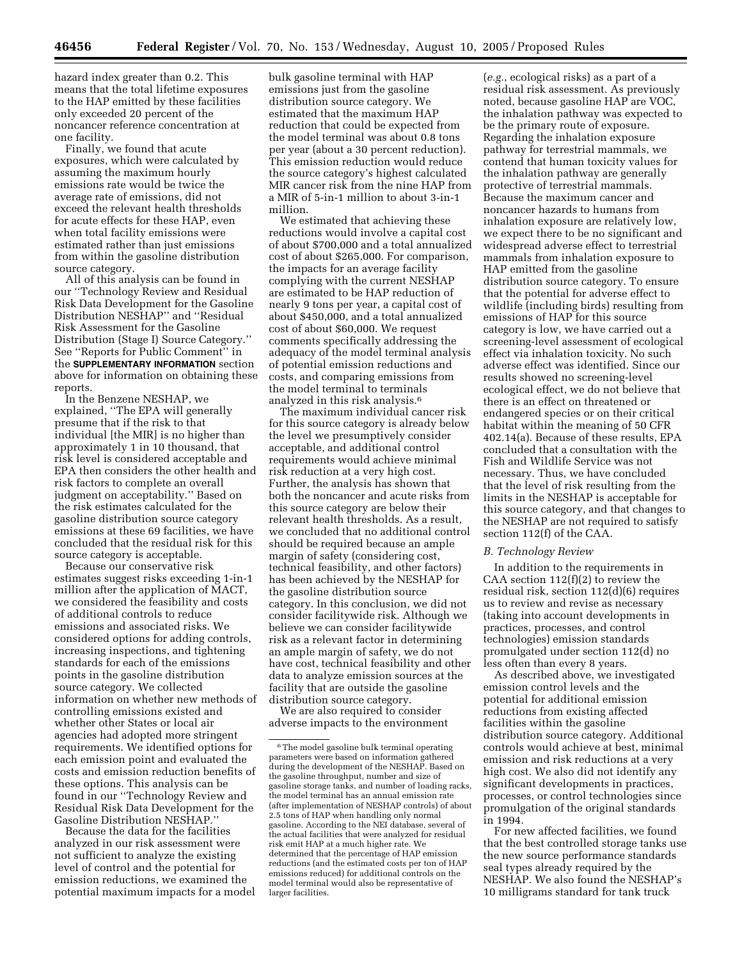hazard index greater than 0.2. This means that the total lifetime exposures to the HAP emitted by these facilities only exceeded 20 percent of the noncancer reference concentration at one facility.

Finally, we found that acute exposures, which were calculated by assuming the maximum hourly emissions rate would be twice the average rate of emissions, did not exceed the relevant health thresholds for acute effects for these HAP, even when total facility emissions were estimated rather than just emissions from within the gasoline distribution source category.

All of this analysis can be found in our ''Technology Review and Residual Risk Data Development for the Gasoline Distribution NESHAP'' and ''Residual Risk Assessment for the Gasoline Distribution (Stage I) Source Category.'' See ''Reports for Public Comment'' in the **SUPPLEMENTARY INFORMATION** section above for information on obtaining these reports.

In the Benzene NESHAP, we explained, ''The EPA will generally presume that if the risk to that individual [the MIR] is no higher than approximately 1 in 10 thousand, that risk level is considered acceptable and EPA then considers the other health and risk factors to complete an overall judgment on acceptability.'' Based on the risk estimates calculated for the gasoline distribution source category emissions at these 69 facilities, we have concluded that the residual risk for this source category is acceptable.

Because our conservative risk estimates suggest risks exceeding 1-in-1 million after the application of MACT, we considered the feasibility and costs of additional controls to reduce emissions and associated risks. We considered options for adding controls, increasing inspections, and tightening standards for each of the emissions points in the gasoline distribution source category. We collected information on whether new methods of controlling emissions existed and whether other States or local air agencies had adopted more stringent requirements. We identified options for each emission point and evaluated the costs and emission reduction benefits of these options. This analysis can be found in our ''Technology Review and Residual Risk Data Development for the Gasoline Distribution NESHAP.''

Because the data for the facilities analyzed in our risk assessment were not sufficient to analyze the existing level of control and the potential for emission reductions, we examined the potential maximum impacts for a model bulk gasoline terminal with HAP emissions just from the gasoline distribution source category. We estimated that the maximum HAP reduction that could be expected from the model terminal was about 0.8 tons per year (about a 30 percent reduction). This emission reduction would reduce the source category's highest calculated MIR cancer risk from the nine HAP from a MIR of 5-in-1 million to about 3-in-1 million.

We estimated that achieving these reductions would involve a capital cost of about \$700,000 and a total annualized cost of about \$265,000. For comparison, the impacts for an average facility complying with the current NESHAP are estimated to be HAP reduction of nearly 9 tons per year, a capital cost of about \$450,000, and a total annualized cost of about \$60,000. We request comments specifically addressing the adequacy of the model terminal analysis of potential emission reductions and costs, and comparing emissions from the model terminal to terminals analyzed in this risk analysis.6

The maximum individual cancer risk for this source category is already below the level we presumptively consider acceptable, and additional control requirements would achieve minimal risk reduction at a very high cost. Further, the analysis has shown that both the noncancer and acute risks from this source category are below their relevant health thresholds. As a result, we concluded that no additional control should be required because an ample margin of safety (considering cost, technical feasibility, and other factors) has been achieved by the NESHAP for the gasoline distribution source category. In this conclusion, we did not consider facilitywide risk. Although we believe we can consider facilitywide risk as a relevant factor in determining an ample margin of safety, we do not have cost, technical feasibility and other data to analyze emission sources at the facility that are outside the gasoline distribution source category.

We are also required to consider adverse impacts to the environment

(*e.g.*, ecological risks) as a part of a residual risk assessment. As previously noted, because gasoline HAP are VOC, the inhalation pathway was expected to be the primary route of exposure. Regarding the inhalation exposure pathway for terrestrial mammals, we contend that human toxicity values for the inhalation pathway are generally protective of terrestrial mammals. Because the maximum cancer and noncancer hazards to humans from inhalation exposure are relatively low, we expect there to be no significant and widespread adverse effect to terrestrial mammals from inhalation exposure to HAP emitted from the gasoline distribution source category. To ensure that the potential for adverse effect to wildlife (including birds) resulting from emissions of HAP for this source category is low, we have carried out a screening-level assessment of ecological effect via inhalation toxicity. No such adverse effect was identified. Since our results showed no screening-level ecological effect, we do not believe that there is an effect on threatened or endangered species or on their critical habitat within the meaning of 50 CFR 402.14(a). Because of these results, EPA concluded that a consultation with the Fish and Wildlife Service was not necessary. Thus, we have concluded that the level of risk resulting from the limits in the NESHAP is acceptable for this source category, and that changes to the NESHAP are not required to satisfy section 112(f) of the CAA.

### *B. Technology Review*

In addition to the requirements in CAA section  $112(f)(2)$  to review the residual risk, section 112(d)(6) requires us to review and revise as necessary (taking into account developments in practices, processes, and control technologies) emission standards promulgated under section 112(d) no less often than every 8 years.

As described above, we investigated emission control levels and the potential for additional emission reductions from existing affected facilities within the gasoline distribution source category. Additional controls would achieve at best, minimal emission and risk reductions at a very high cost. We also did not identify any significant developments in practices, processes, or control technologies since promulgation of the original standards in 1994.

For new affected facilities, we found that the best controlled storage tanks use the new source performance standards seal types already required by the NESHAP. We also found the NESHAP's 10 milligrams standard for tank truck

 $^{\rm 6}$  The model gasoline bulk terminal operating parameters were based on information gathered during the development of the NESHAP. Based on the gasoline throughput, number and size of gasoline storage tanks, and number of loading racks, the model terminal has an annual emission rate (after implementation of NESHAP controls) of about 2.5 tons of HAP when handling only normal gasoline. According to the NEI database, several of the actual facilities that were analyzed for residual risk emit HAP at a much higher rate. We determined that the percentage of HAP emission reductions (and the estimated costs per ton of HAP emissions reduced) for additional controls on the model terminal would also be representative of larger facilities.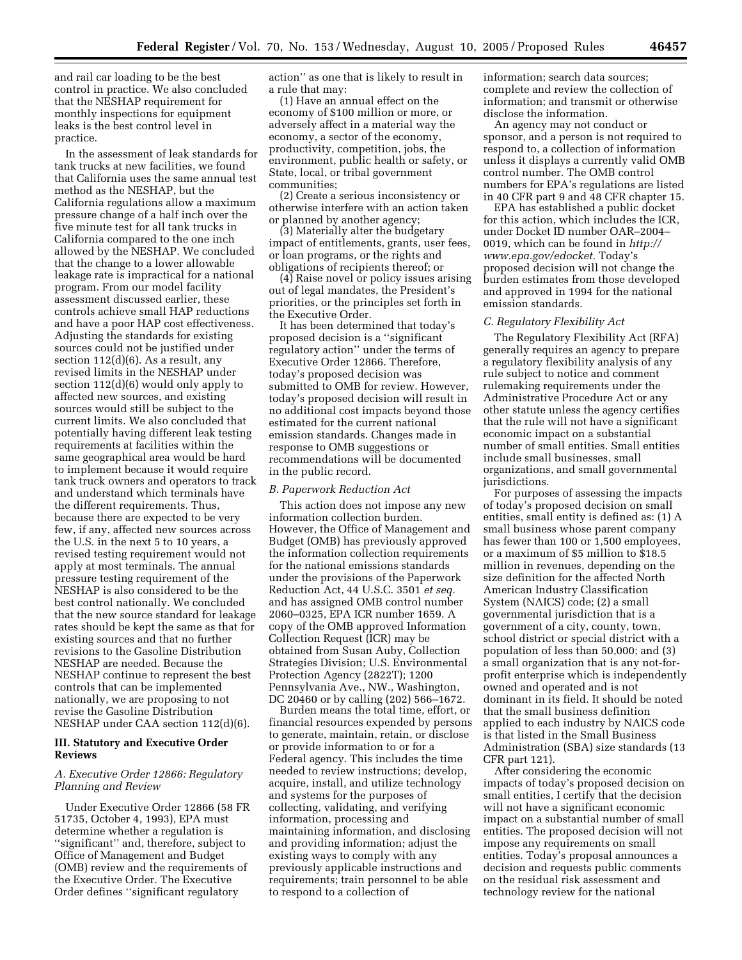and rail car loading to be the best control in practice. We also concluded that the NESHAP requirement for monthly inspections for equipment leaks is the best control level in practice.

In the assessment of leak standards for tank trucks at new facilities, we found that California uses the same annual test method as the NESHAP, but the California regulations allow a maximum pressure change of a half inch over the five minute test for all tank trucks in California compared to the one inch allowed by the NESHAP. We concluded that the change to a lower allowable leakage rate is impractical for a national program. From our model facility assessment discussed earlier, these controls achieve small HAP reductions and have a poor HAP cost effectiveness. Adjusting the standards for existing sources could not be justified under section 112(d)(6). As a result, any revised limits in the NESHAP under section 112(d)(6) would only apply to affected new sources, and existing sources would still be subject to the current limits. We also concluded that potentially having different leak testing requirements at facilities within the same geographical area would be hard to implement because it would require tank truck owners and operators to track and understand which terminals have the different requirements. Thus, because there are expected to be very few, if any, affected new sources across the U.S. in the next 5 to 10 years, a revised testing requirement would not apply at most terminals. The annual pressure testing requirement of the NESHAP is also considered to be the best control nationally. We concluded that the new source standard for leakage rates should be kept the same as that for existing sources and that no further revisions to the Gasoline Distribution NESHAP are needed. Because the NESHAP continue to represent the best controls that can be implemented nationally, we are proposing to not revise the Gasoline Distribution NESHAP under CAA section 112(d)(6).

## **III. Statutory and Executive Order Reviews**

## *A. Executive Order 12866: Regulatory Planning and Review*

Under Executive Order 12866 (58 FR 51735, October 4, 1993), EPA must determine whether a regulation is ''significant'' and, therefore, subject to Office of Management and Budget (OMB) review and the requirements of the Executive Order. The Executive Order defines ''significant regulatory

action'' as one that is likely to result in a rule that may:

(1) Have an annual effect on the economy of \$100 million or more, or adversely affect in a material way the economy, a sector of the economy, productivity, competition, jobs, the environment, public health or safety, or State, local, or tribal government communities;

(2) Create a serious inconsistency or otherwise interfere with an action taken or planned by another agency;

(3) Materially alter the budgetary impact of entitlements, grants, user fees, or loan programs, or the rights and obligations of recipients thereof; or

(4) Raise novel or policy issues arising out of legal mandates, the President's priorities, or the principles set forth in the Executive Order.

It has been determined that today's proposed decision is a ''significant regulatory action'' under the terms of Executive Order 12866. Therefore, today's proposed decision was submitted to OMB for review. However, today's proposed decision will result in no additional cost impacts beyond those estimated for the current national emission standards. Changes made in response to OMB suggestions or recommendations will be documented in the public record.

#### *B. Paperwork Reduction Act*

This action does not impose any new information collection burden. However, the Office of Management and Budget (OMB) has previously approved the information collection requirements for the national emissions standards under the provisions of the Paperwork Reduction Act, 44 U.S.C. 3501 *et seq.* and has assigned OMB control number 2060–0325, EPA ICR number 1659. A copy of the OMB approved Information Collection Request (ICR) may be obtained from Susan Auby, Collection Strategies Division; U.S. Environmental Protection Agency (2822T); 1200 Pennsylvania Ave., NW., Washington, DC 20460 or by calling (202) 566–1672.

Burden means the total time, effort, or financial resources expended by persons to generate, maintain, retain, or disclose or provide information to or for a Federal agency. This includes the time needed to review instructions; develop, acquire, install, and utilize technology and systems for the purposes of collecting, validating, and verifying information, processing and maintaining information, and disclosing and providing information; adjust the existing ways to comply with any previously applicable instructions and requirements; train personnel to be able to respond to a collection of

information; search data sources; complete and review the collection of information; and transmit or otherwise disclose the information.

An agency may not conduct or sponsor, and a person is not required to respond to, a collection of information unless it displays a currently valid OMB control number. The OMB control numbers for EPA's regulations are listed in 40 CFR part 9 and 48 CFR chapter 15.

EPA has established a public docket for this action, which includes the ICR, under Docket ID number OAR–2004– 0019, which can be found in *http:// www.epa.gov/edocket.* Today's proposed decision will not change the burden estimates from those developed and approved in 1994 for the national emission standards.

#### *C. Regulatory Flexibility Act*

The Regulatory Flexibility Act (RFA) generally requires an agency to prepare a regulatory flexibility analysis of any rule subject to notice and comment rulemaking requirements under the Administrative Procedure Act or any other statute unless the agency certifies that the rule will not have a significant economic impact on a substantial number of small entities. Small entities include small businesses, small organizations, and small governmental jurisdictions.

For purposes of assessing the impacts of today's proposed decision on small entities, small entity is defined as: (1) A small business whose parent company has fewer than 100 or 1,500 employees, or a maximum of \$5 million to \$18.5 million in revenues, depending on the size definition for the affected North American Industry Classification System (NAICS) code; (2) a small governmental jurisdiction that is a government of a city, county, town, school district or special district with a population of less than 50,000; and (3) a small organization that is any not-forprofit enterprise which is independently owned and operated and is not dominant in its field. It should be noted that the small business definition applied to each industry by NAICS code is that listed in the Small Business Administration (SBA) size standards (13 CFR part 121).

After considering the economic impacts of today's proposed decision on small entities, I certify that the decision will not have a significant economic impact on a substantial number of small entities. The proposed decision will not impose any requirements on small entities. Today's proposal announces a decision and requests public comments on the residual risk assessment and technology review for the national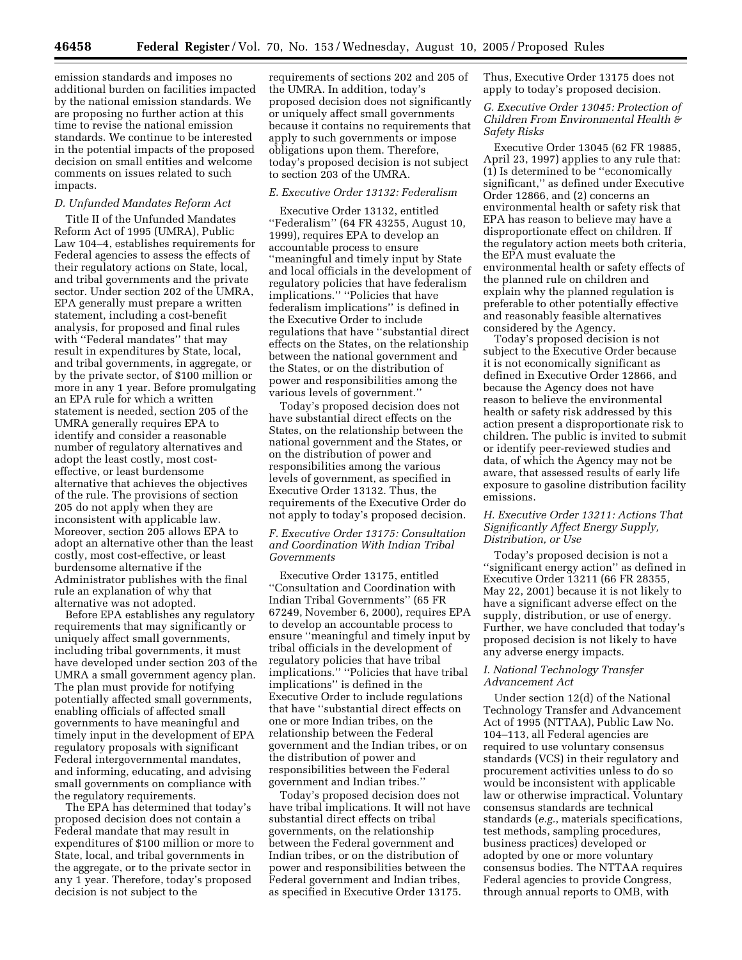emission standards and imposes no additional burden on facilities impacted by the national emission standards. We are proposing no further action at this time to revise the national emission standards. We continue to be interested in the potential impacts of the proposed decision on small entities and welcome comments on issues related to such impacts.

#### *D. Unfunded Mandates Reform Act*

Title II of the Unfunded Mandates Reform Act of 1995 (UMRA), Public Law 104–4, establishes requirements for Federal agencies to assess the effects of their regulatory actions on State, local, and tribal governments and the private sector. Under section 202 of the UMRA, EPA generally must prepare a written statement, including a cost-benefit analysis, for proposed and final rules with ''Federal mandates'' that may result in expenditures by State, local, and tribal governments, in aggregate, or by the private sector, of \$100 million or more in any 1 year. Before promulgating an EPA rule for which a written statement is needed, section 205 of the UMRA generally requires EPA to identify and consider a reasonable number of regulatory alternatives and adopt the least costly, most costeffective, or least burdensome alternative that achieves the objectives of the rule. The provisions of section 205 do not apply when they are inconsistent with applicable law. Moreover, section 205 allows EPA to adopt an alternative other than the least costly, most cost-effective, or least burdensome alternative if the Administrator publishes with the final rule an explanation of why that alternative was not adopted.

Before EPA establishes any regulatory requirements that may significantly or uniquely affect small governments, including tribal governments, it must have developed under section 203 of the UMRA a small government agency plan. The plan must provide for notifying potentially affected small governments, enabling officials of affected small governments to have meaningful and timely input in the development of EPA regulatory proposals with significant Federal intergovernmental mandates, and informing, educating, and advising small governments on compliance with the regulatory requirements.

The EPA has determined that today's proposed decision does not contain a Federal mandate that may result in expenditures of \$100 million or more to State, local, and tribal governments in the aggregate, or to the private sector in any 1 year. Therefore, today's proposed decision is not subject to the

requirements of sections 202 and 205 of the UMRA. In addition, today's proposed decision does not significantly or uniquely affect small governments because it contains no requirements that apply to such governments or impose obligations upon them. Therefore, today's proposed decision is not subject to section 203 of the UMRA.

## *E. Executive Order 13132: Federalism*

Executive Order 13132, entitled ''Federalism'' (64 FR 43255, August 10, 1999), requires EPA to develop an accountable process to ensure ''meaningful and timely input by State and local officials in the development of regulatory policies that have federalism implications.'' ''Policies that have federalism implications'' is defined in the Executive Order to include regulations that have ''substantial direct effects on the States, on the relationship between the national government and the States, or on the distribution of power and responsibilities among the various levels of government.''

Today's proposed decision does not have substantial direct effects on the States, on the relationship between the national government and the States, or on the distribution of power and responsibilities among the various levels of government, as specified in Executive Order 13132. Thus, the requirements of the Executive Order do not apply to today's proposed decision.

## *F. Executive Order 13175: Consultation and Coordination With Indian Tribal Governments*

Executive Order 13175, entitled ''Consultation and Coordination with Indian Tribal Governments'' (65 FR 67249, November 6, 2000), requires EPA to develop an accountable process to ensure ''meaningful and timely input by tribal officials in the development of regulatory policies that have tribal implications.'' ''Policies that have tribal implications'' is defined in the Executive Order to include regulations that have ''substantial direct effects on one or more Indian tribes, on the relationship between the Federal government and the Indian tribes, or on the distribution of power and responsibilities between the Federal government and Indian tribes.''

Today's proposed decision does not have tribal implications. It will not have substantial direct effects on tribal governments, on the relationship between the Federal government and Indian tribes, or on the distribution of power and responsibilities between the Federal government and Indian tribes, as specified in Executive Order 13175.

Thus, Executive Order 13175 does not apply to today's proposed decision.

*G. Executive Order 13045: Protection of Children From Environmental Health & Safety Risks* 

Executive Order 13045 (62 FR 19885, April 23, 1997) applies to any rule that: (1) Is determined to be ''economically significant,'' as defined under Executive Order 12866, and (2) concerns an environmental health or safety risk that EPA has reason to believe may have a disproportionate effect on children. If the regulatory action meets both criteria, the EPA must evaluate the environmental health or safety effects of the planned rule on children and explain why the planned regulation is preferable to other potentially effective and reasonably feasible alternatives considered by the Agency.

Today's proposed decision is not subject to the Executive Order because it is not economically significant as defined in Executive Order 12866, and because the Agency does not have reason to believe the environmental health or safety risk addressed by this action present a disproportionate risk to children. The public is invited to submit or identify peer-reviewed studies and data, of which the Agency may not be aware, that assessed results of early life exposure to gasoline distribution facility emissions.

## *H. Executive Order 13211: Actions That Significantly Affect Energy Supply, Distribution, or Use*

Today's proposed decision is not a ''significant energy action'' as defined in Executive Order 13211 (66 FR 28355, May 22, 2001) because it is not likely to have a significant adverse effect on the supply, distribution, or use of energy. Further, we have concluded that today's proposed decision is not likely to have any adverse energy impacts.

## *I. National Technology Transfer Advancement Act*

Under section 12(d) of the National Technology Transfer and Advancement Act of 1995 (NTTAA), Public Law No. 104–113, all Federal agencies are required to use voluntary consensus standards (VCS) in their regulatory and procurement activities unless to do so would be inconsistent with applicable law or otherwise impractical. Voluntary consensus standards are technical standards (*e.g.*, materials specifications, test methods, sampling procedures, business practices) developed or adopted by one or more voluntary consensus bodies. The NTTAA requires Federal agencies to provide Congress, through annual reports to OMB, with